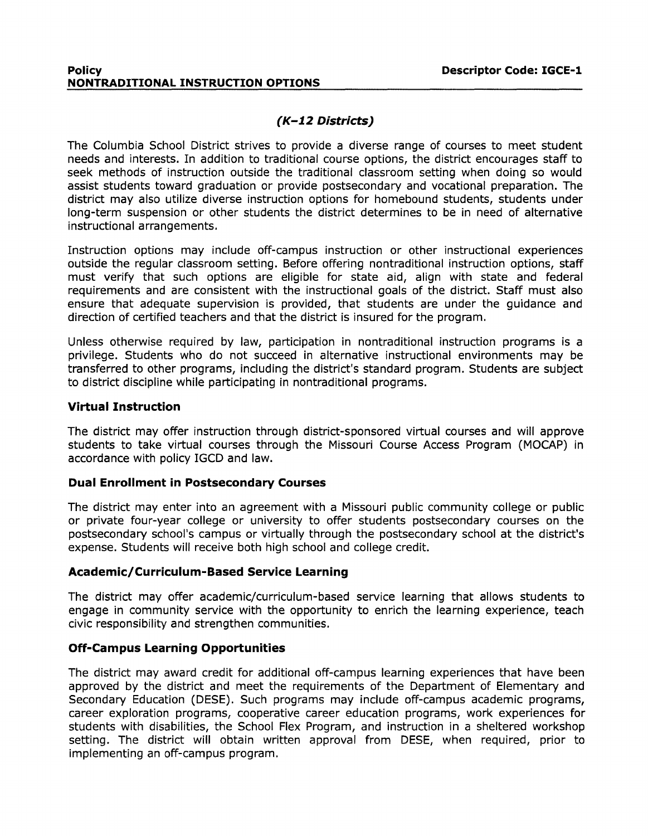#### **Policy Descriptor Code: IGCE-1 NONTRADITIONAL INSTRUCTION OPTIONS**

# **(K-12 Districts)**

The Columbia School District strives to provide a diverse range of courses to meet student needs and interests. In addition to traditional course options, the district encourages staff to seek methods of instruction outside the traditional classroom setting when doing so would assist students toward graduation or provide postsecondary and vocational preparation. The district may also utilize diverse instruction options for homebound students, students under long-term suspension or other students the district determines to be in need of alternative instructional arrangements.

Instruction options may include off-campus instruction or other instructional experiences outside the regular classroom setting. Before offering nontraditional instruction options, staff must verify that such options are eligible for state aid, align with state and federal requirements and are consistent with the instructional goals of the district. Staff must also ensure that adequate supervision is provided, that students are under the guidance and direction of certified teachers and that the district is insured for the program.

Unless otherwise required by law, participation in nontraditional instruction programs is a privilege. Students who do not succeed in alternative instructional environments may be transferred to other programs, including the district's standard program. Students are subject to district discipline while participating in nontraditional programs.

#### **Virtual Instruction**

The district may offer instruction through district-sponsored virtual courses and will approve students to take virtual courses through the Missouri Course Access Program (MOCAP) in accordance with policy IGCD and law.

#### **Dual Enrollment in Postsecondary Courses**

The district may enter into an agreement with a Missouri public community college or public or private four-year college or university to offer students postsecondary courses on the postsecondary school's campus or virtually through the postsecondary school at the district's expense. Students will receive both high school and college credit.

#### **Academic/ Curriculum-Based Service Learning**

The district may offer academic/curriculum-based service learning that allows students to engage in community service with the opportunity to enrich the learning experience, teach civic responsibility and strengthen communities.

#### **Off-Campus Learning Opportunities**

The district may award credit for additional off-campus learning experiences that have been approved by the district and meet the requirements of the Department of Elementary and Secondary Education (DESE). Such programs may include off-campus academic programs, career exploration programs, cooperative career education programs, work experiences for students with disabilities, the School Flex Program, and instruction in a sheltered workshop setting. The district will obtain written approval from DESE, when required, prior to implementing an off-campus program.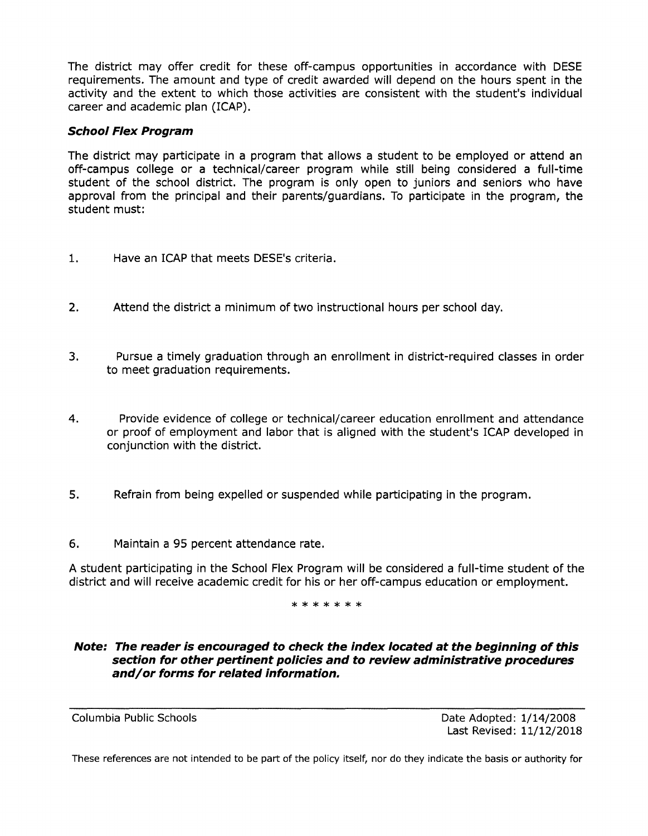The district may offer credit for these off-campus opportunities in accordance with DESE requirements. The amount and type of credit awarded will depend on the hours spent in the activity and the extent to which those activities are consistent with the student's individual career and academic plan (ICAP).

### **School Flex Program**

The district may participate in a program that allows a student to be employed or attend an off-campus college or a technical/career program while still being considered a full-time student of the school district. The program is only open to juniors and seniors who have approval from the principal and their parents/guardians. To participate in the program, the student must:

- 1. Have an ICAP that meets DESE's criteria.
- 2. Attend the district a minimum of two instructional hours per school day.
- 3. Pursue a timely graduation through an enrollment in district-required classes in order to meet graduation requirements.
- 4. Provide evidence of college or technical/career education enrollment and attendance or proof of employment and labor that is aligned with the student's ICAP developed in conjunction with the district.
- 5. Refrain from being expelled or suspended while participating in the program.
- 6. Maintain a 95 percent attendance rate.

A student participating in the School Flex Program will be considered a full-time student of the district and will receive academic credit for his or her off-campus education or employment.

\*\*\*\*\*\*\*

#### **Note: The reader is encouraged to check the index located at the beginning of this section for other pertinent policies and to review administrative procedures and/or forms for related information.**

Columbia Public Schools **Date Adopted: 1/14/2008** Last Revised: 11/12/2018

These references are not intended to be part of the policy itself, nor do they indicate the basis or authority for